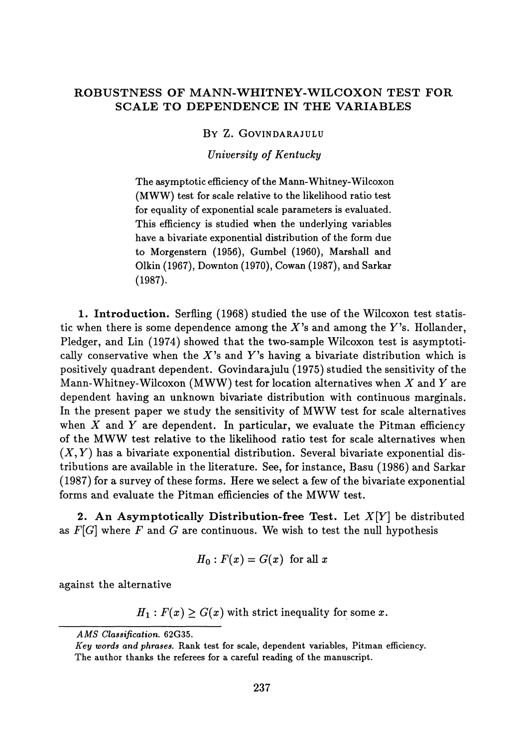## **ROBUSTNESS OF MANN-WHITNEY-WILCOXON TEST FOR SCALE TO DEPENDENCE IN THE VARIABLES**

BY Z. GOVINDARAJULU

*University of Kentucky*

The asymptotic efficiency of the Mann-Whitney-Wilcoxon (MWW) test for scale relative to the likelihood ratio test for equality of exponential scale parameters is evaluated. This efficiency is studied when the underlying variables have a bivariate exponential distribution of the form due to Morgenstern (1956), Gumbel (1960), Marshall and Olkin (1967), Downton (1970), Cowan (1987), and Sarkar (1987).

**1. Introduction.** Serfling (1968) studied the use of the Wilcoxon test statistic when there is some dependence among the  $X$ 's and among the  $Y$ 's. Hollander, Pledger, and Lin (1974) showed that the two-sample Wilcoxon test is asymptotically conservative when the X's and Y's having a bivariate distribution which is positively quadrant dependent. Govindarajulu (1975) studied the sensitivity of the Mann-Whitney-Wilcoxon (MWW) test for location alternatives when *X* and *Y* are dependent having an unknown bivariate distribution with continuous marginals. In the present paper we study the sensitivity of MWW test for scale alternatives when  $X$  and  $Y$  are dependent. In particular, we evaluate the Pitman efficiency of the MWW test relative to the likelihood ratio test for scale alternatives when  $(X, Y)$  has a bivariate exponential distribution. Several bivariate exponential distributions are available in the literature. See, for instance, Basu (1986) and Sarkar (1987) for a survey of these forms. Here we select a few of the bivariate exponential forms and evaluate the Pitman efficiencies of the MWW test.

**2. An Asymptotically Distribution-free Test.** Let *X[Y]* be distributed as *F[G]* where *F* and *G* are continuous. We wish to test the null hypothesis

$$
H_0: F(x) = G(x) \ \ \text{for all} \ x
$$

against the alternative

 $H_1$ :  $F(x) \ge G(x)$  with strict inequality for some x.

*AMS Classification.* **62G35.**

*Key words and phrases.* Rank test for scale, dependent variables, Pitman efficiency. The author thanks the referees for a careful reading of the manuscript.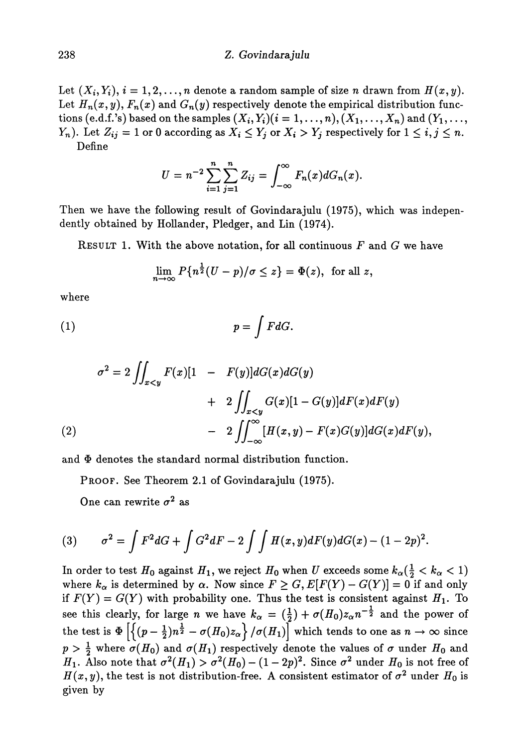#### 238 Z. *Govindarajulu*

Let  $(X_i, Y_i)$ ,  $i = 1, 2, ..., n$  denote a random sample of size *n* drawn from  $H(x, y)$ . Let  $H_n(x,y),$   $F_n(x)$  and  $G_n(y)$  respectively denote the empirical distribution func  $\text{tions (e.d.f.'s) based on the samples } (X_i, Y_i) (i = 1, \ldots, n), (X_1, \ldots, X_n) \text{ and } (Y_1, \ldots, Y_n)$ *Y<sub>n</sub>*). Let  $Z_{ij} = 1$  or 0 according as  $X_i \leq Y_j$  or  $X_i > Y_j$  respectively for  $1 \leq i, j \leq n$ . Define

 $U = n^{-2} \sum_{i=1}^{n} \sum_{j=1}^{n} Z_{ij} = \int_{-\infty}^{\infty} F_n(x) dG_n(x).$ 

Then we have the following result of Govindarajulu (1975), which was indepen dently obtained by Hollander, Pledger, and Lin (1974).

RESULT 1. With the above notation, for all continuous *F* and *G* we have

$$
\lim_{n\to\infty} P\{n^{\frac{1}{2}}(U-p)/\sigma\leq z\}=\Phi(z), \text{ for all } z,
$$

where

$$
(1) \t\t\t p = \int F dG.
$$

$$
\sigma^{2} = 2 \iint_{x < y} F(x)[1 - F(y)]dG(x)dG(y)
$$
  
+ 
$$
2 \iint_{x < y} G(x)[1 - G(y)]dF(x)dF(y)
$$
  
- 
$$
2 \iint_{-\infty}^{\infty} [H(x, y) - F(x)G(y)]dG(x)dF(y),
$$

and Φ denotes the standard normal distribution function.

PROOF. See Theorem 2.1 of Govindarajulu (1975).

One can rewrite  $\sigma^2$  as

(3) 
$$
\sigma^2 = \int F^2 dG + \int G^2 dF - 2 \int \int H(x, y) dF(y) dG(x) - (1 - 2p)^2.
$$

In order to test  $H_0$  against  $H_1,$  we reject  $H_0$  when  $U$  exceeds some  $k_\alpha (\frac{1}{2} < k_\alpha < 1)$ where  $k_{\alpha}$  is determined by  $\alpha$ . Now since  $F \geq G, E[F(Y) - G(Y)] = 0$  if and only if  $F(Y) = G(Y)$  with probability one. Thus the test is consistent against  $H_1$ . To see this clearly, for large *n* we have  $k_{\alpha} = (\frac{1}{2}) + \sigma(H_0)z_{\alpha}n^{-\frac{1}{2}}$  and the power of the test is  $\Phi$   $\left|\left\{(p-\frac{1}{2})n^{\frac{1}{2}}-\sigma(H_0)z_\alpha\right\}/\sigma(H_1)\right|$  which tends to one as  $n\to\infty$  since  $p > \frac{1}{2}$  where  $\sigma(H_0)$  and  $\sigma(H_1)$  respectively denote the values of  $\sigma$  under  $H_0$  and *H*<sub>1</sub>. Also note that  $\sigma^2(H_1) > \sigma^2(H_0) - (1-2p)^2$ . Since  $\sigma^2$  under  $H_0$  is not free of  $H(x, y)$ , the test is not distribution-free. A consistent estimator of  $\sigma^2$  under  $H_0$  is given by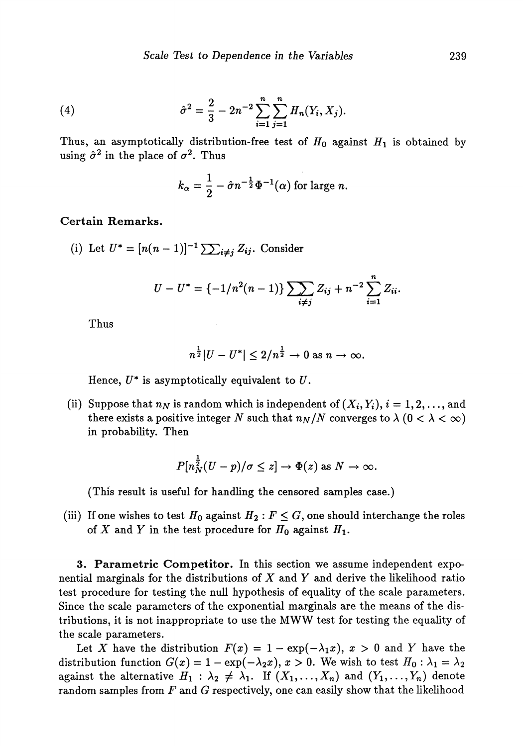(4) 
$$
\hat{\sigma}^2 = \frac{2}{3} - 2n^{-2} \sum_{i=1}^n \sum_{j=1}^n H_n(Y_i, X_j).
$$

Thus, an asymptotically distribution-free test of  $H_0$  against  $H_1$  is obtained by using  $\hat{\sigma}^2$  in the place of  $\sigma^2$ . Thus

$$
k_{\alpha}=\frac{1}{2}-\hat{\sigma}n^{-\frac{1}{2}}\Phi^{-1}(\alpha) \text{ for large } n.
$$

### **Certain Remarks.**

(i) Let 
$$
U^* = [n(n-1)]^{-1} \sum_{i \neq j} Z_{ij}
$$
. Consider

$$
U - U^* = \{-1/n^2(n-1)\} \sum_{i \neq j} Z_{ij} + n^{-2} \sum_{i=1}^n Z_{ii}.
$$

Thus

$$
n^{\frac{1}{2}}|U-U^*| \leq 2/n^{\frac{1}{2}} \to 0 \text{ as } n \to \infty.
$$

Hence,  $U^*$  is asymptotically equivalent to  $U$ .

(ii) Suppose that  $n_N$  is random which is independent of  $(X_i, Y_i), i = 1, 2, \ldots$ , and there exists a positive integer N such that  $n_N/N$  converges to  $\lambda$  ( $0 < \lambda < \infty$ ) in probability. Then

$$
P[n_N^{\frac{1}{2}}(U-p)/\sigma \leq z] \to \Phi(z) \text{ as } N \to \infty.
$$

(This result is useful for handling the censored samples case.)

(iii) If one wishes to test  $H_0$  against  $H_2: F \leq G$ , one should interchange the roles of *X* and *Y* in the test procedure for  $H_0$  against  $H_1$ .

**3. Parametric Competitor.** In this section we assume independent expo nential marginals for the distributions of *X* and *Y* and derive the likelihood ratio test procedure for testing the null hypothesis of equality of the scale parameters. Since the scale parameters of the exponential marginals are the means of the dis tributions, it is not inappropriate to use the MWW test for testing the equality of the scale parameters.

Let X have the distribution  $F(x) = 1 - \exp(-\lambda_1 x)$ ,  $x > 0$  and Y have the distribution function  $G(x) = 1 - \exp(-\lambda_2 x)$ ,  $x > 0$ . We wish to test  $H_0 : \lambda_1 = \lambda_2$ against the alternative  $H_1$  :  $\lambda_2 \neq \lambda_1$ . If  $(X_1, ..., X_n)$  and  $(Y_1, ..., Y_n)$  denote random samples from *F* and *G* respectively, one can easily show that the likelihood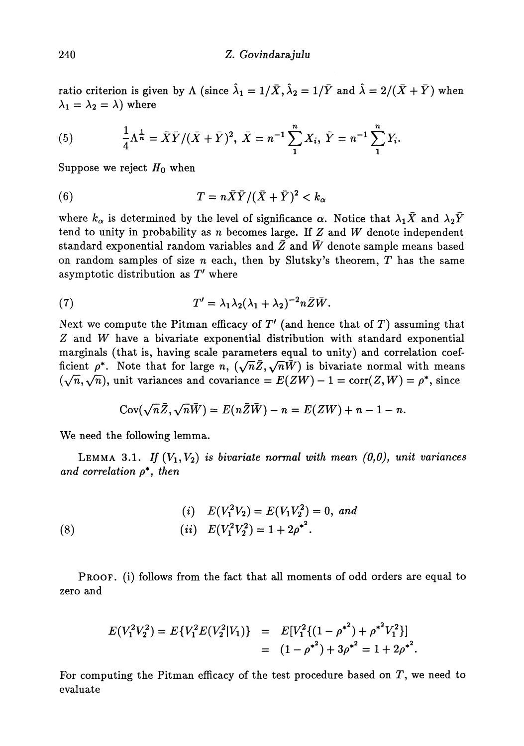ratio criterion is given by  $\Lambda$  (since  $\hat{\lambda}_1 = 1/\bar{X}$ ,  $\hat{\lambda}_2 = 1/\bar{Y}$  and  $\hat{\lambda} = 2/(\bar{X} + \bar{Y})$  when  $\lambda_1 = \lambda_2 = \lambda$ ) where

(5) 
$$
\frac{1}{4}\Lambda^{\frac{1}{n}} = \bar{X}\bar{Y}/(\bar{X} + \bar{Y})^2, \ \bar{X} = n^{-1}\sum_{1}^{n}X_i, \ \bar{Y} = n^{-1}\sum_{1}^{n}Y_i.
$$

Suppose we reject  $H_0$  when

(6) 
$$
T = n\bar{X}\bar{Y}/(\bar{X} + \bar{Y})^2 < k_{\alpha}
$$

where  $k_\alpha$  is determined by the level of significance  $\alpha.$  Notice that  $\lambda_1\bar{X}$  and  $\lambda_2\bar{Y}$ tend to unity in probability as *n* becomes large. If *Z* and *W* denote independent standard exponential random variables and *Z* and *W* denote sample means based on random samples of size *n* each, then by Slutsky's theorem, *T* has the same asymptotic distribution as *T'* where

(7) 
$$
T' = \lambda_1 \lambda_2 (\lambda_1 + \lambda_2)^{-2} n \bar{Z} \bar{W}.
$$

Next we compute the Pitman efficacy of *V* (and hence that of *T)* assuming that *Z* and *W* have a bivariate exponential distribution with standard exponential marginals (that is, having scale parameters equal to unity) and correlation coef ficient  $\rho^*$ . Note that for large n,  $(\sqrt{n}\bar{Z}, \sqrt{n}\bar{W})$  is bivariate normal with means  $(\sqrt{n}, \sqrt{n})$ , unit variances and covariance =  $E(ZW) - 1 = \text{corr}(Z, W) = \rho^*$ , since

$$
Cov(\sqrt{n}\bar{Z},\sqrt{n}\bar{W})=E(n\bar{Z}\bar{W})-n=E(ZW)+n-1-n.
$$

We need the following lemma.

LEMMA 3.1. If  $(V_1, V_2)$  is bivariate normal with mean  $(0,0)$ , unit variances *and correlation p\*, then*

(8)   
\n
$$
(i) \quad E(V_1^2 V_2) = E(V_1 V_2^2) = 0, \text{ and}
$$
\n
$$
(ii) \quad E(V_1^2 V_2^2) = 1 + 2\rho^{*2}.
$$

PROOF, (i) follows from the fact that all moments of odd orders are equal to zero and

$$
E(V_1^2 V_2^2) = E\{V_1^2 E(V_2^2 | V_1)\} = E[V_1^2 \{(1 - {\rho^*}^2) + {\rho^*}^2 V_1^2\}]
$$
  
=  $(1 - {\rho^*}^2) + 3{\rho^*}^2 = 1 + 2{\rho^*}^2$ .

For computing the Pitman efficacy of the test procedure based on *T,* we need to evaluate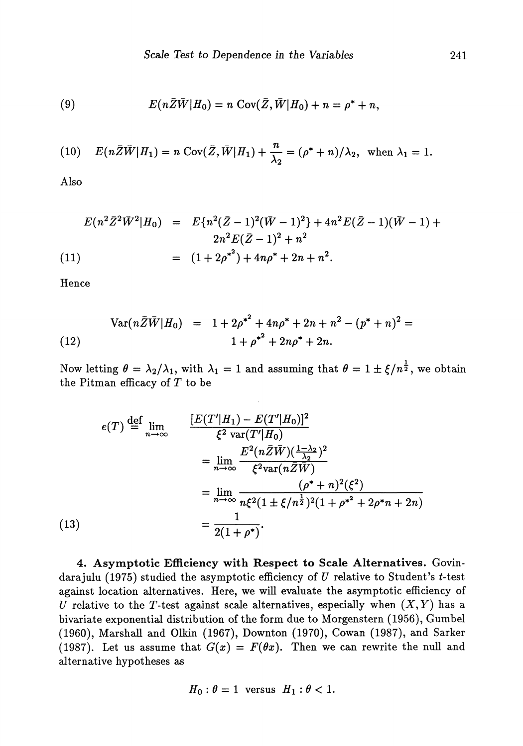(9) 
$$
E(n\bar{Z}\bar{W}|H_0) = n \text{ Cov}(\bar{Z}, \bar{W}|H_0) + n = \rho^* + n,
$$

(10) 
$$
E(n\overline{Z}\overline{W}|H_1) = n \operatorname{Cov}(\overline{Z}, \overline{W}|H_1) + \frac{n}{\lambda_2} = (\rho^* + n)/\lambda_2, \text{ when } \lambda_1 = 1.
$$

Also

$$
E(n^{2}\bar{Z}^{2}\bar{W}^{2}|H_{0}) = E{n^{2}(\bar{Z}-1)^{2}(\bar{W}-1)^{2}} + 4n^{2}E(\bar{Z}-1)(\bar{W}-1) + 2n^{2}E(\bar{Z}-1)^{2} + n^{2}
$$
  
(11)  

$$
= (1 + 2\rho^{*^{2}}) + 4n\rho^{*} + 2n + n^{2}.
$$

Hence

(12) 
$$
\operatorname{Var}(n\bar{Z}\bar{W}|H_0) = 1 + 2\rho^{*^2} + 4n\rho^* + 2n + n^2 - (p^* + n)^2 = 1 + \rho^{*^2} + 2n\rho^* + 2n.
$$

Now letting  $\theta = \lambda_2/\lambda_1$ , with  $\lambda_1 = 1$  and assuming that  $\theta = 1 \pm \xi/n^{\frac{1}{2}}$ , we obtain the Pitman efficacy of *T* to be

(13)  
\n
$$
e(T) \stackrel{\text{def}}{=} \lim_{n \to \infty} \frac{[E(T'|H_1) - E(T'|H_0)]^2}{\xi^2 \text{ var}(T'|H_0)}
$$
\n
$$
= \lim_{n \to \infty} \frac{E^2(n\bar{Z}\bar{W})(\frac{1-\lambda_2}{\lambda_2})^2}{\xi^2 \text{ var}(n\bar{Z}\bar{W})}
$$
\n
$$
= \lim_{n \to \infty} \frac{(\rho^* + n)^2(\xi^2)}{n\xi^2(1 \pm \xi/n^{\frac{1}{2}})^2(1 + \rho^{*2} + 2\rho^{*}n + 2n)}
$$
\n
$$
= \frac{1}{2(1 + \rho^*)}.
$$

**4. Asymptotic Efficiency with Respect to Scale Alternatives.** Govin darajulu (1975) studied the asymptotic efficiency of *U* relative to Student's ί-test against location alternatives. Here, we will evaluate the asymptotic efficiency of *U* relative to the T-test against scale alternatives, especially when  $(X, Y)$  has a bivariate exponential distribution of the form due to Morgenstern (1956), Gumbel (1960), Marshall and Olkin (1967), Downton (1970), Cowan (1987), and Sarker (1987). Let us assume that  $G(x) = F(\theta x)$ . Then we can rewrite the null and alternative hypotheses as

$$
H_0: \theta = 1 \text{ versus } H_1: \theta < 1.
$$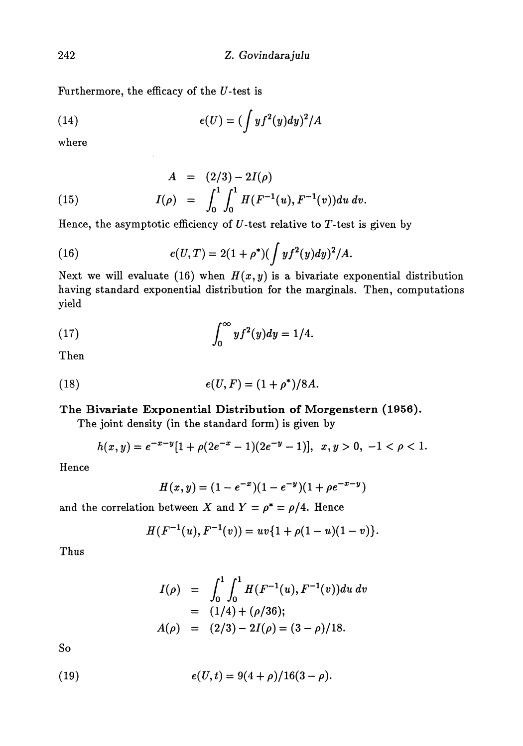Furthermore, the efficacy of the *U-test* is

(14) 
$$
e(U) = (\int y f^2(y) dy)^2 / A
$$

where

(15) 
$$
A = (2/3) - 2I(\rho)
$$

$$
I(\rho) = \int_0^1 \int_0^1 H(F^{-1}(u), F^{-1}(v)) du dv.
$$

Hence, the asymptotic efficiency of *U-test* relative to Γ-test is given by

(16) 
$$
e(U,T) = 2(1+\rho^*)(\int y f^2(y) dy)^2/A.
$$

Next we will evaluate (16) when  $H(x, y)$  is a bivariate exponential distribution having standard exponential distribution for the marginals. Then, computations yield

(17) 
$$
\int_0^\infty y f^2(y) dy = 1/4.
$$

Then

(18) 
$$
e(U, F) = (1 + \rho^*)/8A.
$$

## **The Bivariate Exponential Distribution of Morgenstern (1956).**

The joint density (in the standard form) is given by

$$
h(x,y) = e^{-x-y} [1 + \rho(2e^{-x} - 1)(2e^{-y} - 1)], \ \ x, y > 0, \ -1 < \rho < 1.
$$

Hence

$$
H(x,y) = (1 - e^{-x})(1 - e^{-y})(1 + \rho e^{-x-y})
$$

and the correlation between X and  $Y = \rho^* = \rho/4$ . Hence

$$
H(F^{-1}(u), F^{-1}(v)) = uv\{1 + \rho(1-u)(1-v)\}.
$$

Thus

$$
I(\rho) = \int_0^1 \int_0^1 H(F^{-1}(u), F^{-1}(v)) du dv
$$
  
= (1/4) + (\rho/36);  

$$
A(\rho) = (2/3) - 2I(\rho) = (3 - \rho)/18.
$$

So

(19) 
$$
e(U,t) = 9(4+\rho)/16(3-\rho).
$$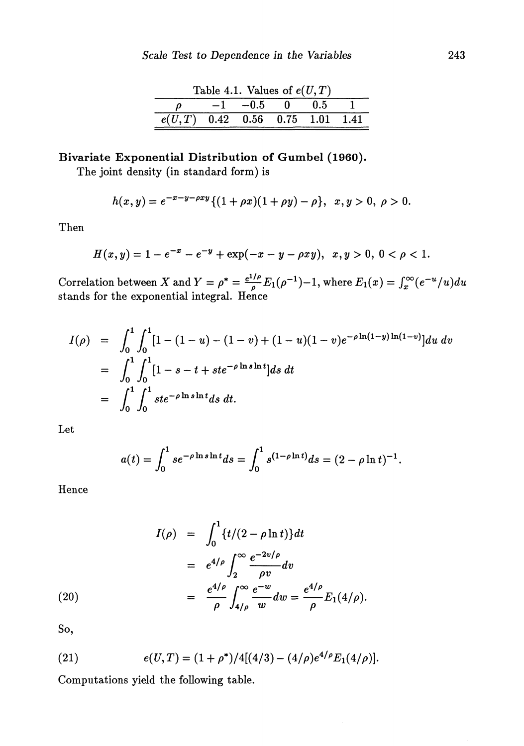|                                              | Table 4.1. Values of $e(U,T)$ |  |  |
|----------------------------------------------|-------------------------------|--|--|
|                                              | $-1$ $-0.5$ 0 0.5             |  |  |
| $\overline{e(U,T)}$ 0.42 0.56 0.75 1.01 1.41 |                               |  |  |

# **Bivariate Exponential Distribution of Gumbel (1960).**

The joint density (in standard form) is

$$
h(x,y)=e^{-x-y-\rho xy}\{(1+\rho x)(1+\rho y)-\rho\},\ \ x,y>0,\ \rho>0.
$$

Then

$$
H(x,y) = 1 - e^{-x} - e^{-y} + \exp(-x - y - \rho xy), \ \ x, y > 0, \ 0 < \rho < 1.
$$

Correlation between X and  $Y = \rho^* = \frac{e^{1/\rho}}{\rho} E_1(\rho^{-1})-1$ , where  $E_1(x) = \int_x^\infty (e^{-u}/u)du$ stands for the exponential integral. Hence

$$
I(\rho) = \int_0^1 \int_0^1 [1 - (1 - u) - (1 - v) + (1 - u)(1 - v)e^{-\rho \ln(1 - y)\ln(1 - v)}] du dv
$$
  
= 
$$
\int_0^1 \int_0^1 [1 - s - t + ste^{-\rho \ln s \ln t}] ds dt
$$
  
= 
$$
\int_0^1 \int_0^1 ste^{-\rho \ln s \ln t} ds dt.
$$

Let

$$
a(t) = \int_0^1 s e^{-\rho \ln s \ln t} ds = \int_0^1 s^{(1-\rho \ln t)} ds = (2 - \rho \ln t)^{-1}.
$$

Hence

(20)  
\n
$$
I(\rho) = \int_0^1 \{t/(2 - \rho \ln t)\} dt
$$
\n
$$
= e^{4/\rho} \int_2^\infty \frac{e^{-2v/\rho}}{\rho v} dv
$$
\n
$$
= \frac{e^{4/\rho}}{\rho} \int_{4/\rho}^\infty \frac{e^{-w}}{w} dw = \frac{e^{4/\rho}}{\rho} E_1(4/\rho).
$$

So,

(21) 
$$
e(U,T) = (1+\rho^*)/4[(4/3)-(4/\rho)e^{4/\rho}E_1(4/\rho)].
$$

Computations yield the following table.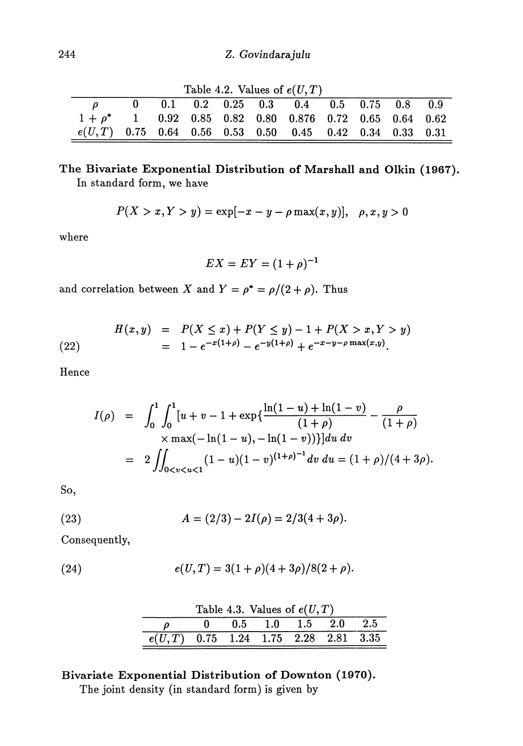| Table 4.2. Values of $e(U, T)$                             |  |  |  |  |  |                                           |  |  |  |  |
|------------------------------------------------------------|--|--|--|--|--|-------------------------------------------|--|--|--|--|
|                                                            |  |  |  |  |  | $0$ 0.1 0.2 0.25 0.3 0.4 0.5 0.75 0.8 0.9 |  |  |  |  |
| $1+\rho^*$ 1 0.92 0.85 0.82 0.80 0.876 0.72 0.65 0.64 0.62 |  |  |  |  |  |                                           |  |  |  |  |
| $e(U,T)$ 0.75 0.64 0.56 0.53 0.50 0.45 0.42 0.34 0.33 0.31 |  |  |  |  |  |                                           |  |  |  |  |

 $T<sub>ab</sub>$ <sub>12</sub>. 4.2. Values of  $e(H,T)$ 

## **The Bivariate Exponential Distribution of Marshall and Olkin (1967).** In standard form, we have

$$
P(X > x, Y > y) = \exp[-x - y - \rho \max(x, y)], \quad \rho, x, y > 0
$$

where

$$
EX = EY = (1+\rho)^{-1}
$$

and correlation between *X* and  $Y = \rho^* = \rho/(2 + \rho)$ . Thus

(22) 
$$
H(x,y) = P(X \le x) + P(Y \le y) - 1 + P(X > x, Y > y)
$$

$$
= 1 - e^{-x(1+\rho)} - e^{-y(1+\rho)} + e^{-x-y-\rho \max(x,y)}.
$$

Hence

$$
I(\rho) = \int_0^1 \int_0^1 [u + v - 1 + \exp\{\frac{\ln(1 - u) + \ln(1 - v)}{(1 + \rho)} - \frac{\rho}{(1 + \rho)}\}\times \max(-\ln(1 - u), -\ln(1 - v))\}]du dv
$$
  
= 
$$
2 \iint_{0 < v < u < 1} (1 - u)(1 - v)^{(1 + \rho)^{-1}} dv du = (1 + \rho)/(4 + 3\rho).
$$

So,

(23) 
$$
A = (2/3) - 2I(\rho) = 2/3(4 + 3\rho).
$$

Consequently,

(24) 
$$
e(U,T) = 3(1+\rho)(4+3\rho)/8(2+\rho).
$$

|                                         |  | Table 4.3. Values of $e(U,T)$ |  |
|-----------------------------------------|--|-------------------------------|--|
|                                         |  | $0$ 0.5 1.0 1.5 2.0 2.5       |  |
| $e(U, T)$ 0.75 1.24 1.75 2.28 2.81 3.35 |  |                               |  |

# **Bivariate Exponential Distribution of Downton (1970).**

The joint density (in standard form) is given by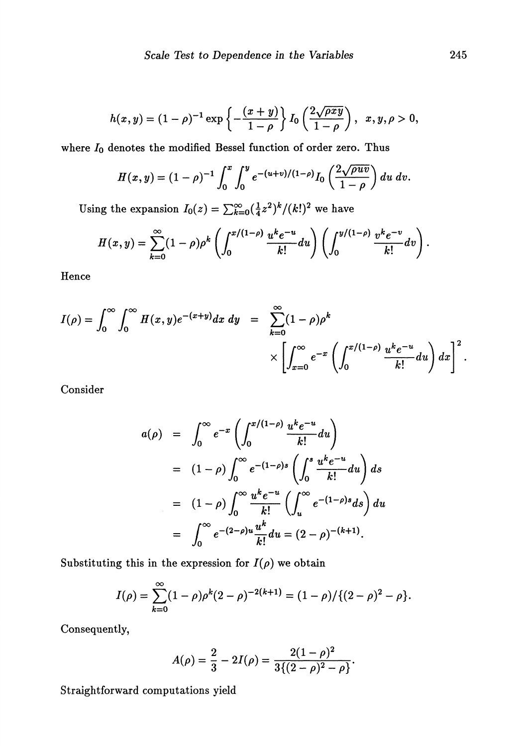$$
h(x,y) = (1 - \rho)^{-1} \exp \left\{-\frac{(x + y)}{1 - \rho}\right\} I_0\left(\frac{2\sqrt{\rho xy}}{1 - \rho}\right), \ \ x, y, \rho > 0,
$$

where  $I_0$  denotes the modified Bessel function of order zero. Thus

$$
H(x,y)=(1-\rho)^{-1}\int_0^x\int_0^y e^{-(u+v)/(1-\rho)}I_0\left(\frac{2\sqrt{\rho uv}}{1-\rho}\right)du\;dv.
$$

Using the expansion  $I_0(z) = \sum_{k=0}^{\infty} (\frac{1}{4}z^2)^k / (k!)^2$  we have

$$
H(x,y) = \sum_{k=0}^{\infty} (1-\rho)\rho^k \left( \int_0^{x/(1-\rho)} \frac{u^k e^{-u}}{k!} du \right) \left( \int_0^{y/(1-\rho)} \frac{v^k e^{-v}}{k!} dv \right).
$$

Hence

$$
I(\rho) = \int_0^{\infty} \int_0^{\infty} H(x, y) e^{-(x+y)} dx dy = \sum_{k=0}^{\infty} (1 - \rho) \rho^k
$$
  
 
$$
\times \left[ \int_{x=0}^{\infty} e^{-x} \left( \int_0^{x/(1-\rho)} \frac{u^k e^{-u}}{k!} du \right) dx \right]^2.
$$

Consider

$$
a(\rho) = \int_0^\infty e^{-x} \left( \int_0^{x/(1-\rho)} \frac{u^k e^{-u}}{k!} du \right)
$$
  
\n
$$
= (1-\rho) \int_0^\infty e^{-(1-\rho)s} \left( \int_0^s \frac{u^k e^{-u}}{k!} du \right) ds
$$
  
\n
$$
= (1-\rho) \int_0^\infty \frac{u^k e^{-u}}{k!} \left( \int_u^\infty e^{-(1-\rho)s} ds \right) du
$$
  
\n
$$
= \int_0^\infty e^{-(2-\rho)u} \frac{u^k}{k!} du = (2-\rho)^{-(k+1)}.
$$

Substituting this in the expression for  $I(\rho)$  we obtain

$$
I(\rho) = \sum_{k=0}^{\infty} (1-\rho)\rho^{k}(2-\rho)^{-2(k+1)} = (1-\rho)/\{(2-\rho)^{2} - \rho\}.
$$

Consequently,

$$
A(\rho) = \frac{2}{3} - 2I(\rho) = \frac{2(1-\rho)^2}{3\{(2-\rho)^2 - \rho\}}.
$$

Straightforward computations yield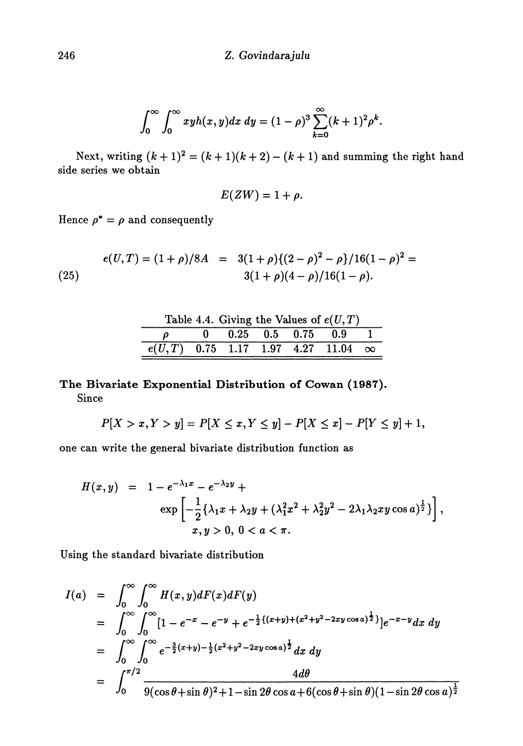$$
\int_0^\infty \int_0^\infty x y h(x,y) dx dy = (1-\rho)^3 \sum_{k=0}^\infty (k+1)^2 \rho^k.
$$

Next, writing  $(k + 1)^2 = (k + 1)(k + 2) - (k + 1)$  and summing the right hand side series we obtain

$$
E(ZW)=1+\rho.
$$

Hence  $\rho^* = \rho$  and consequently

(25) 
$$
e(U,T) = (1+\rho)/8A = 3(1+\rho)\{(2-\rho)^2 - \rho\}/16(1-\rho)^2 = 3(1+\rho)(4-\rho)/16(1-\rho).
$$

| Table 4.4. Giving the Values of $e(U,T)$    |  |                       |  |  |  |  |  |  |  |
|---------------------------------------------|--|-----------------------|--|--|--|--|--|--|--|
|                                             |  | $0$ 0.25 0.5 0.75 0.9 |  |  |  |  |  |  |  |
| $e(U,T)$ 0.75 1.17 1.97 4.27 11.04 $\infty$ |  |                       |  |  |  |  |  |  |  |

## **The Bivariate Exponential Distribution of Cowan (1987)** Since

$$
P[X > x, Y > y] = P[X \le x, Y \le y] - P[X \le x] - P[Y \le y] + 1,
$$

one can write the general bivariate distribution function as

$$
H(x,y) = 1 - e^{-\lambda_1 x} - e^{-\lambda_2 y} +
$$
  
\n
$$
\exp \left[ -\frac{1}{2} \{ \lambda_1 x + \lambda_2 y + (\lambda_1^2 x^2 + \lambda_2^2 y^2 - 2\lambda_1 \lambda_2 x y \cos a)^{\frac{1}{2}} \} \right],
$$
  
\n
$$
x, y > 0, 0 < a < \pi.
$$

Using the standard bivariate distribution

$$
I(a) = \int_0^\infty \int_0^\infty H(x, y) dF(x) dF(y)
$$
  
\n
$$
= \int_0^\infty \int_0^\infty [1 - e^{-x} - e^{-y} + e^{-\frac{1}{2}\{(x+y)+(x^2+y^2-2xy\cos a)^{\frac{1}{2}}\}}]e^{-x-y} dx dy
$$
  
\n
$$
= \int_0^\infty \int_0^\infty e^{-\frac{3}{2}(x+y)-\frac{1}{2}(x^2+y^2-2xy\cos a)^{\frac{1}{2}}} dx dy
$$
  
\n
$$
= \int_0^{\pi/2} \frac{4d\theta}{9(\cos\theta + \sin\theta)^2 + 1 - \sin 2\theta \cos a + 6(\cos\theta + \sin\theta)(1 - \sin 2\theta \cos a)^{\frac{1}{2}}}
$$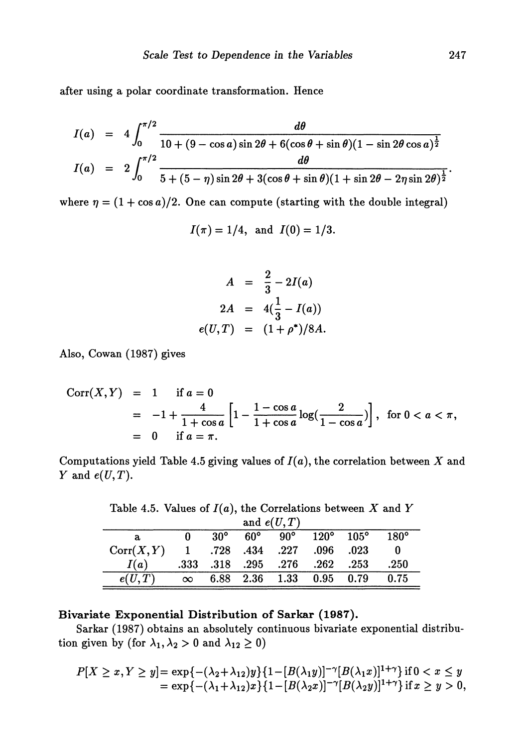after using a polar coordinate transformation. Hence

$$
I(a) = 4 \int_0^{\pi/2} \frac{d\theta}{10 + (9 - \cos a)\sin 2\theta + 6(\cos \theta + \sin \theta)(1 - \sin 2\theta \cos \theta)^{\frac{1}{2}}}
$$
  

$$
I(a) = 2 \int_0^{\pi/2} \frac{d\theta}{5 + (5 - \eta)\sin 2\theta + 3(\cos \theta + \sin \theta)(1 + \sin 2\theta - 2\eta \sin 2\theta)^{\frac{1}{2}}}
$$

where  $\eta = (1 + \cos a)/2$ . One can compute (starting with the double integral)

$$
I(\pi) = 1/4
$$
, and  $I(0) = 1/3$ .

$$
A = \frac{2}{3} - 2I(a)
$$
  
\n
$$
2A = 4(\frac{1}{3} - I(a))
$$
  
\n
$$
e(U, T) = (1 + \rho^*)/8A.
$$

Also, Cowan (1987) gives

Corr(X,y) = **1** ifo = **0** 4 **Γ** 1 - cos *α* 1 + ΓΊM-T ; 1 + cos β [ **1** + cos *α* = **0** if = π. **2 ,1** l ) , forO<α<π , **1** — cos *α* **J**

Computations yield Table 4.5 giving values of  $I(a)$ , the correlation between X and *Y* and  $e(U,T)$ .

Table 4.5. Values of  $I(a)$ , the Correlations between X and Y

| and $e(U,T)$ |              |            |              |              |             |              |             |
|--------------|--------------|------------|--------------|--------------|-------------|--------------|-------------|
| a            |              | $30^\circ$ | $60^{\circ}$ | $90^{\circ}$ | $120^\circ$ | $-105^\circ$ | $180^\circ$ |
| Corr(X, Y)   | $\mathbf{1}$ | .728.434   |              | .227         | .096        | .023         |             |
| I(a)         | .333         |            | .318.295     | .276         | .262        | .253         | .250        |
| e(U,T)       | $\infty$     |            | 6.88 2.36    | 1.33         | $0.95$ 0.79 |              | 0.75        |

### **Bivariate Exponential Distribution of Sarkar (1987).**

Sarkar (1987) obtains an absolutely continuous bivariate exponential distribu tion given by (for  $\lambda_1, \lambda_2 > 0$  and  $\lambda_{12} \ge 0$ )

$$
P[X \ge x, Y \ge y] = \exp\{-(\lambda_2 + \lambda_{12})y\}\{1 - [B(\lambda_1y)]^{-\gamma}[B(\lambda_1x)]^{1+\gamma}\} \text{ if } 0 < x \le y
$$
\n
$$
= \exp\{-(\lambda_1 + \lambda_{12})x\}\{1 - [B(\lambda_2x)]^{-\gamma}[B(\lambda_2y)]^{1+\gamma}\} \text{ if } x \ge y > 0,
$$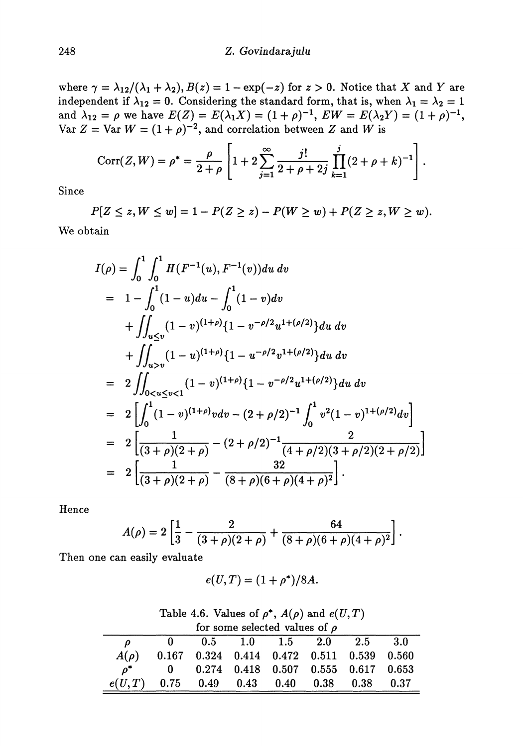where  $\gamma = \lambda_{12}/(\lambda_1 + \lambda_2), B(z) = 1 - \exp(-z)$  for  $z > 0$ . Notice that X and Y are independent if  $\lambda_{12} = 0$ . Considering the standard form, that is, when  $\lambda_1 = \lambda_2 = 1$ and  $\lambda_{12} = \rho$  we have  $E(Z) = E(\lambda_1 X) = (1 + \rho)^{-1}$ ,  $EW = E(\lambda_2 Y) = (1 + \rho)^{-1}$ ,  $\text{Var } Z = \text{Var } W = (1 + \rho)^{-2}$ , and correlation between Z and W is

$$
Corr(Z, W) = \rho^* = \frac{\rho}{2+\rho} \left[ 1 + 2 \sum_{j=1}^{\infty} \frac{j!}{2+\rho+2j} \prod_{k=1}^j (2+\rho+k)^{-1} \right].
$$

Since

 $P[Z \leq z, W \leq w] = 1 - P(Z \geq z) - P(W \geq w) + P(Z \geq z, W \geq w).$ We obtain

$$
I(\rho) = \int_0^1 \int_0^1 H(F^{-1}(u), F^{-1}(v)) du dv
$$
  
\n
$$
= 1 - \int_0^1 (1 - u) du - \int_0^1 (1 - v) dv
$$
  
\n
$$
+ \int_{u \le v} (1 - v)^{(1 + \rho)} \{1 - v^{-\rho/2} u^{1 + (\rho/2)}\} du dv
$$
  
\n
$$
+ \int_{u > v} (1 - u)^{(1 + \rho)} \{1 - u^{-\rho/2} v^{1 + (\rho/2)}\} du dv
$$
  
\n
$$
= 2 \int_{0 < u \le v < 1} (1 - v)^{(1 + \rho)} \{1 - v^{-\rho/2} u^{1 + (\rho/2)}\} du dv
$$
  
\n
$$
= 2 \left[ \int_0^1 (1 - v)^{(1 + \rho)} v dv - (2 + \rho/2)^{-1} \int_0^1 v^2 (1 - v)^{1 + (\rho/2)} dv \right]
$$
  
\n
$$
= 2 \left[ \frac{1}{(3 + \rho)(2 + \rho)} - (2 + \rho/2)^{-1} \frac{2}{(4 + \rho/2)(3 + \rho/2)(2 + \rho/2)} \right]
$$
  
\n
$$
= 2 \left[ \frac{1}{(3 + \rho)(2 + \rho)} - \frac{32}{(8 + \rho)(6 + \rho)(4 + \rho)^2} \right].
$$

Hence

$$
A(\rho) = 2\left[\frac{1}{3} - \frac{2}{(3+\rho)(2+\rho)} + \frac{64}{(8+\rho)(6+\rho)(4+\rho)^2}\right].
$$

Then one can easily evaluate

$$
e(U,T)=(1+\rho^*)/8A.
$$

| Table 4.6. Values of $\rho^*$ , $A(\rho)$ and $e(U,T)$ |                                    |  |  |
|--------------------------------------------------------|------------------------------------|--|--|
|                                                        | for some selected values of $\rho$ |  |  |

|                                              | Tor some selected values of $\rho$                  |                             |  |  |  |  |  |  |  |
|----------------------------------------------|-----------------------------------------------------|-----------------------------|--|--|--|--|--|--|--|
| $\rho$                                       |                                                     | $0$ 0.5 1.0 1.5 2.0 2.5 3.0 |  |  |  |  |  |  |  |
|                                              | $A(\rho)$ 0.167 0.324 0.414 0.472 0.511 0.539 0.560 |                             |  |  |  |  |  |  |  |
|                                              | $\rho^*$ 0 0.274 0.418 0.507 0.555 0.617 0.653      |                             |  |  |  |  |  |  |  |
| $e(U, T)$ 0.75 0.49 0.43 0.40 0.38 0.38 0.37 |                                                     |                             |  |  |  |  |  |  |  |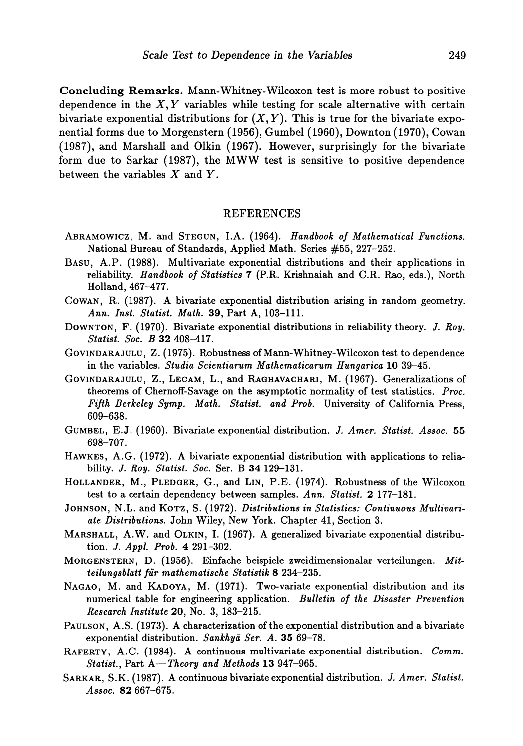**Concluding Remarks.** Mann-Whitney-Wilcoxon test is more robust to positive dependence in the  $X, Y$  variables while testing for scale alternative with certain bivariate exponential distributions for  $(X, Y)$ . This is true for the bivariate exponential forms due to Morgenstern (1956), Gumbel (1960), Downton (1970), Cowan (1987), and Marshall and Olkin (1967). However, surprisingly for the bivariate form due to Sarkar (1987), the MWW test is sensitive to positive dependence between the variables *X* and *Y.*

#### REFERENCES

- ABRAMOWICZ, M. and STEGUN, LA. (1964). *Handbook of Mathematical Functions.* National Bureau of Standards, Applied Math. Series #55, 227-252.
- BASU, A.P. (1988). Multivariate exponential distributions and their applications in reliability. *Handbook of Statistics* 7 (P.R. Krishnaiah and C.R. Rao, eds.), North Holland, 467-477.
- COWAN, R. (1987). A bivariate exponential distribution arising in random geometry. *Ann. Inst. Statist. Math.* 39, Part A, 103-111.
- DOWNTON, F. (1970). Bivariate exponential distributions in reliability theory. *J. Roy. Statist. Soc. B* 32 408-417.
- GOVINDARAJULU, Z. (1975). Robustness of Mann-Whitney-Wilcoxon test to dependence in the variables. *Studia Scientiarum Mathematicarum Hungarica* 10 39-45.
- GOVINDARAJULU, Z., LECAM, L., and RAGHAVACHARI, M. (1967). Generalizations of theorems of Chernoff-Savage on the asymptotic normality of test statistics. *Proc. Fifth Berkeley Symp. Math. Statist, and Prob.* University of California Press, 609-638.
- GUMBEL, E.J. (1960). Bivariate exponential distribution. *J. Amer. Statist. Assoc.* 55
- 698-707. HAWKES, A.G. (1972). A bivariate exponential distribution with applications to relia bility. *J. Roy. Statist. Soc.* Ser. B 34 129-131.
- HOLLANDER, M., PLEDGER, G., and LIN, P.E. (1974). RODUSTNESS OF the WIICOXON test to a certain dependency between samples. *Ann. Statist.* 2 177-181.
- JOHNSON, N.L. and KOTZ, S. (1972). *Distributions in Statistics: Continuous Multivariate Distributions.* John Wiley, New York. Chapter 41, Section 3.
- MARSHALL, A.W. and OLKIN, I. (1967). A generalized bivariate exponential distribu tion. /. *Appl. Prob.* 4 291-302.
- MORGENSTERN, D. (1956). Einfache beispiele zweidimensionalar verteilungen. *Mitteilungsblatt fur mathematische Statistik* 8 234-235.
- NAGAO, M. and KADOYA, M. (1971). Two-variate exponential distribution and its numerical table for engineering application. *Bulletin of the Disaster Prevention Research Institute* 20, No. 3, 183-215.
- PAULSON, A.S. (1973). A characterization of the exponential distribution and a bivariate exponential distribution. *Sankhyά Ser. A.* 35 69-78.
- RAFERTY, A.C. (1984). A continuous multivariate exponential distribution. *Comm. Statist,* Part *A—Theory and Methods* 13 947-965.
- SARKAR, S.K. (1987). A continuous bivariate exponential distribution. *J. Amer. Statist. Assoc.* 82 667-675.